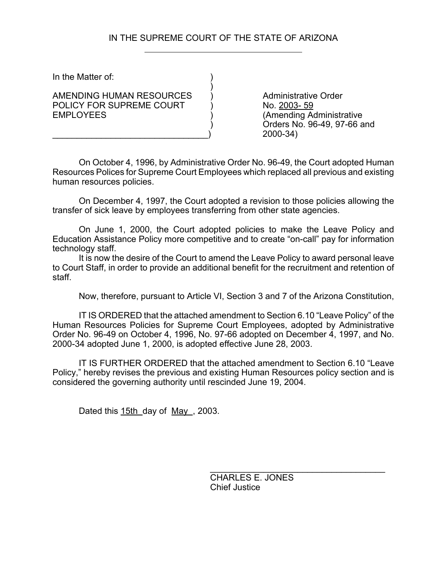# IN THE SUPREME COURT OF THE STATE OF ARIZONA

)

In the Matter of:

AMENDING HUMAN RESOURCES (a) Administrative Order POLICY FOR SUPREME COURT (No. 2003-59) EMPLOYEES ) (Amending Administrative

) Orders No. 96-49, 97-66 and \_\_\_\_\_\_\_\_\_\_\_\_\_\_\_\_\_\_\_\_\_\_\_\_\_\_\_\_\_\_\_\_) 2000-34)

On October 4, 1996, by Administrative Order No. 96-49, the Court adopted Human Resources Polices for Supreme Court Employees which replaced all previous and existing human resources policies.

On December 4, 1997, the Court adopted a revision to those policies allowing the transfer of sick leave by employees transferring from other state agencies.

On June 1, 2000, the Court adopted policies to make the Leave Policy and Education Assistance Policy more competitive and to create "on-call" pay for information technology staff.

It is now the desire of the Court to amend the Leave Policy to award personal leave to Court Staff, in order to provide an additional benefit for the recruitment and retention of staff.

Now, therefore, pursuant to Article VI, Section 3 and 7 of the Arizona Constitution,

IT IS ORDERED that the attached amendment to Section 6.10 "Leave Policy" of the Human Resources Policies for Supreme Court Employees, adopted by Administrative Order No. 96-49 on October 4, 1996, No. 97-66 adopted on December 4, 1997, and No. 2000-34 adopted June 1, 2000, is adopted effective June 28, 2003.

IT IS FURTHER ORDERED that the attached amendment to Section 6.10 "Leave Policy," hereby revises the previous and existing Human Resources policy section and is considered the governing authority until rescinded June 19, 2004.

Dated this 15th day of May , 2003.

 $\mathcal{L}_\text{max}$  and  $\mathcal{L}_\text{max}$  and  $\mathcal{L}_\text{max}$  and  $\mathcal{L}_\text{max}$ CHARLES E. JONES Chief Justice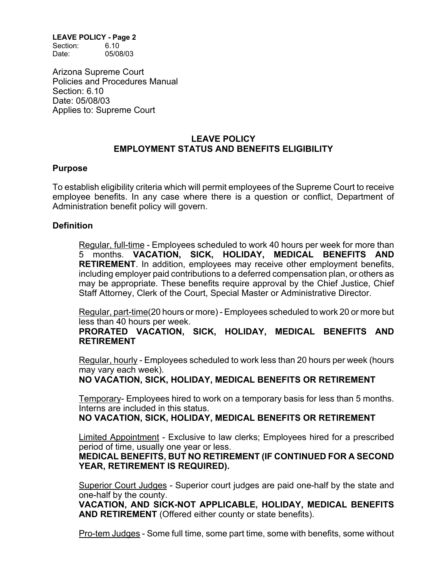Section: 6.10 Date: 05/08/03

Arizona Supreme Court Policies and Procedures Manual Section: 6.10 Date: 05/08/03 Applies to: Supreme Court

## **LEAVE POLICY EMPLOYMENT STATUS AND BENEFITS ELIGIBILITY**

#### **Purpose**

To establish eligibility criteria which will permit employees of the Supreme Court to receive employee benefits. In any case where there is a question or conflict, Department of Administration benefit policy will govern.

#### **Definition**

Regular, full-time - Employees scheduled to work 40 hours per week for more than 5 months. **VACATION, SICK, HOLIDAY, MEDICAL BENEFITS AND RETIREMENT**. In addition, employees may receive other employment benefits, including employer paid contributions to a deferred compensation plan, or others as may be appropriate. These benefits require approval by the Chief Justice, Chief Staff Attorney, Clerk of the Court, Special Master or Administrative Director.

Regular, part-time(20 hours or more) - Employees scheduled to work 20 or more but less than 40 hours per week.

**PRORATED VACATION, SICK, HOLIDAY, MEDICAL BENEFITS AND RETIREMENT**

Regular, hourly - Employees scheduled to work less than 20 hours per week (hours may vary each week).

**NO VACATION, SICK, HOLIDAY, MEDICAL BENEFITS OR RETIREMENT**

Temporary- Employees hired to work on a temporary basis for less than 5 months. Interns are included in this status.

**NO VACATION, SICK, HOLIDAY, MEDICAL BENEFITS OR RETIREMENT**

Limited Appointment - Exclusive to law clerks; Employees hired for a prescribed period of time, usually one year or less.

**MEDICAL BENEFITS, BUT NO RETIREMENT (IF CONTINUED FOR A SECOND YEAR, RETIREMENT IS REQUIRED).**

Superior Court Judges - Superior court judges are paid one-half by the state and one-half by the county.

**VACATION, AND SICK-NOT APPLICABLE, HOLIDAY, MEDICAL BENEFITS AND RETIREMENT** (Offered either county or state benefits).

Pro-tem Judges - Some full time, some part time, some with benefits, some without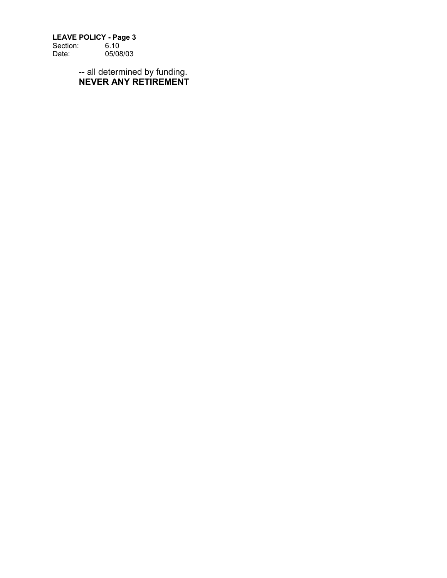Section: 6.10 Date: 05/08/03

> -- all determined by funding. **NEVER ANY RETIREMENT**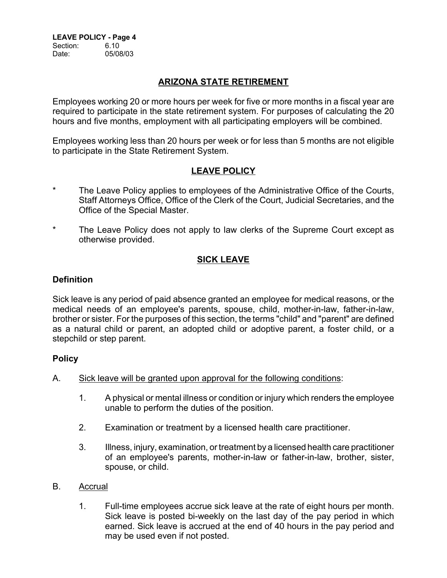**LEAVE POLICY - Page 4** Section: 6.10 Date: 05/08/03

# **ARIZONA STATE RETIREMENT**

Employees working 20 or more hours per week for five or more months in a fiscal year are required to participate in the state retirement system. For purposes of calculating the 20 hours and five months, employment with all participating employers will be combined.

Employees working less than 20 hours per week or for less than 5 months are not eligible to participate in the State Retirement System.

# **LEAVE POLICY**

- The Leave Policy applies to employees of the Administrative Office of the Courts, Staff Attorneys Office, Office of the Clerk of the Court, Judicial Secretaries, and the Office of the Special Master.
- \* The Leave Policy does not apply to law clerks of the Supreme Court except as otherwise provided.

# **SICK LEAVE**

### **Definition**

Sick leave is any period of paid absence granted an employee for medical reasons, or the medical needs of an employee's parents, spouse, child, mother-in-law, father-in-law, brother or sister. For the purposes of this section, the terms "child" and "parent" are defined as a natural child or parent, an adopted child or adoptive parent, a foster child, or a stepchild or step parent.

#### **Policy**

- A. Sick leave will be granted upon approval for the following conditions:
	- 1. A physical or mental illness or condition or injury which renders the employee unable to perform the duties of the position.
	- 2. Examination or treatment by a licensed health care practitioner.
	- 3. Illness, injury, examination, or treatment by a licensed health care practitioner of an employee's parents, mother-in-law or father-in-law, brother, sister, spouse, or child.
- B. Accrual
	- 1. Full-time employees accrue sick leave at the rate of eight hours per month. Sick leave is posted bi-weekly on the last day of the pay period in which earned. Sick leave is accrued at the end of 40 hours in the pay period and may be used even if not posted.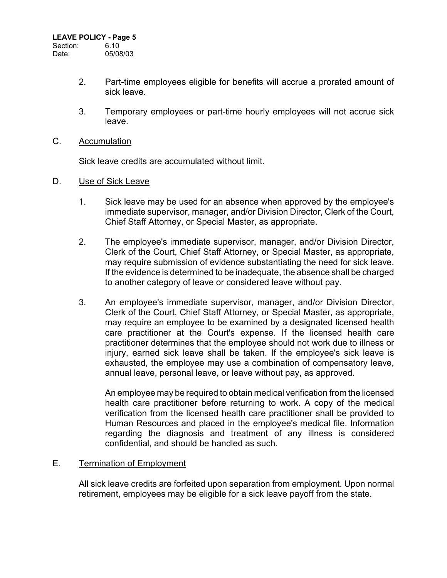Section: 6.10 Date: 05/08/03

- 2. Part-time employees eligible for benefits will accrue a prorated amount of sick leave.
- 3. Temporary employees or part-time hourly employees will not accrue sick leave.
- C. Accumulation

Sick leave credits are accumulated without limit.

- D. Use of Sick Leave
	- 1. Sick leave may be used for an absence when approved by the employee's immediate supervisor, manager, and/or Division Director, Clerk of the Court, Chief Staff Attorney, or Special Master, as appropriate.
	- 2. The employee's immediate supervisor, manager, and/or Division Director, Clerk of the Court, Chief Staff Attorney, or Special Master, as appropriate, may require submission of evidence substantiating the need for sick leave. If the evidence is determined to be inadequate, the absence shall be charged to another category of leave or considered leave without pay.
	- 3. An employee's immediate supervisor, manager, and/or Division Director, Clerk of the Court, Chief Staff Attorney, or Special Master, as appropriate, may require an employee to be examined by a designated licensed health care practitioner at the Court's expense. If the licensed health care practitioner determines that the employee should not work due to illness or injury, earned sick leave shall be taken. If the employee's sick leave is exhausted, the employee may use a combination of compensatory leave, annual leave, personal leave, or leave without pay, as approved.

An employee may be required to obtain medical verification from the licensed health care practitioner before returning to work. A copy of the medical verification from the licensed health care practitioner shall be provided to Human Resources and placed in the employee's medical file. Information regarding the diagnosis and treatment of any illness is considered confidential, and should be handled as such.

## E. Termination of Employment

All sick leave credits are forfeited upon separation from employment. Upon normal retirement, employees may be eligible for a sick leave payoff from the state.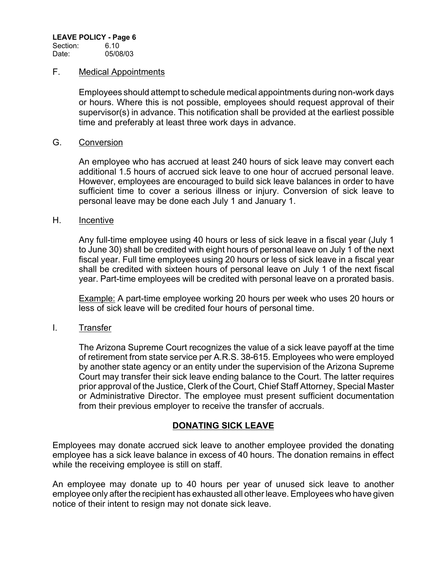#### F. Medical Appointments

Employees should attempt to schedule medical appointments during non-work days or hours. Where this is not possible, employees should request approval of their supervisor(s) in advance. This notification shall be provided at the earliest possible time and preferably at least three work days in advance.

#### G. Conversion

An employee who has accrued at least 240 hours of sick leave may convert each additional 1.5 hours of accrued sick leave to one hour of accrued personal leave. However, employees are encouraged to build sick leave balances in order to have sufficient time to cover a serious illness or injury. Conversion of sick leave to personal leave may be done each July 1 and January 1.

#### H. Incentive

Any full-time employee using 40 hours or less of sick leave in a fiscal year (July 1 to June 30) shall be credited with eight hours of personal leave on July 1 of the next fiscal year. Full time employees using 20 hours or less of sick leave in a fiscal year shall be credited with sixteen hours of personal leave on July 1 of the next fiscal year. Part-time employees will be credited with personal leave on a prorated basis.

Example: A part-time employee working 20 hours per week who uses 20 hours or less of sick leave will be credited four hours of personal time.

#### I. Transfer

The Arizona Supreme Court recognizes the value of a sick leave payoff at the time of retirement from state service per A.R.S. 38-615. Employees who were employed by another state agency or an entity under the supervision of the Arizona Supreme Court may transfer their sick leave ending balance to the Court. The latter requires prior approval of the Justice, Clerk of the Court, Chief Staff Attorney, Special Master or Administrative Director. The employee must present sufficient documentation from their previous employer to receive the transfer of accruals.

## **DONATING SICK LEAVE**

Employees may donate accrued sick leave to another employee provided the donating employee has a sick leave balance in excess of 40 hours. The donation remains in effect while the receiving employee is still on staff.

An employee may donate up to 40 hours per year of unused sick leave to another employee only after the recipient has exhausted all other leave. Employees who have given notice of their intent to resign may not donate sick leave.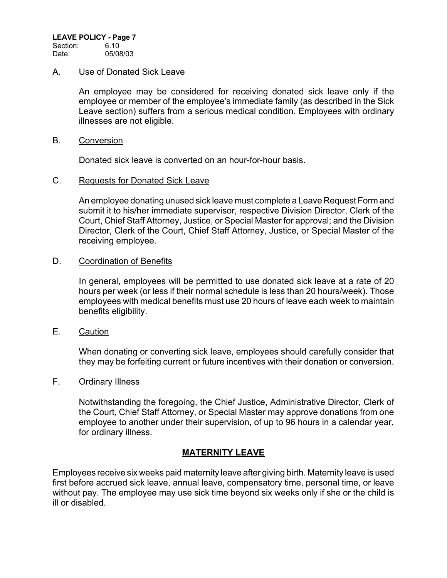Section: 6.10 Date: 05/08/03

### A. Use of Donated Sick Leave

An employee may be considered for receiving donated sick leave only if the employee or member of the employee's immediate family (as described in the Sick Leave section) suffers from a serious medical condition. Employees with ordinary illnesses are not eligible.

#### B. Conversion

Donated sick leave is converted on an hour-for-hour basis.

### C. Requests for Donated Sick Leave

An employee donating unused sick leave must complete a Leave Request Form and submit it to his/her immediate supervisor, respective Division Director, Clerk of the Court, Chief Staff Attorney, Justice, or Special Master for approval; and the Division Director, Clerk of the Court, Chief Staff Attorney, Justice, or Special Master of the receiving employee.

### D. Coordination of Benefits

In general, employees will be permitted to use donated sick leave at a rate of 20 hours per week (or less if their normal schedule is less than 20 hours/week). Those employees with medical benefits must use 20 hours of leave each week to maintain benefits eligibility.

E. Caution

When donating or converting sick leave, employees should carefully consider that they may be forfeiting current or future incentives with their donation or conversion.

## F. Ordinary Illness

Notwithstanding the foregoing, the Chief Justice, Administrative Director, Clerk of the Court, Chief Staff Attorney, or Special Master may approve donations from one employee to another under their supervision, of up to 96 hours in a calendar year, for ordinary illness.

## **MATERNITY LEAVE**

Employees receive six weeks paid maternity leave after giving birth. Maternity leave is used first before accrued sick leave, annual leave, compensatory time, personal time, or leave without pay. The employee may use sick time beyond six weeks only if she or the child is ill or disabled.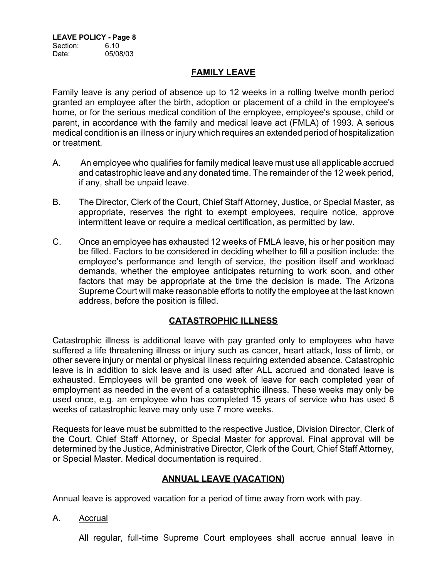### **FAMILY LEAVE**

Family leave is any period of absence up to 12 weeks in a rolling twelve month period granted an employee after the birth, adoption or placement of a child in the employee's home, or for the serious medical condition of the employee, employee's spouse, child or parent, in accordance with the family and medical leave act (FMLA) of 1993. A serious medical condition is an illness or injury which requires an extended period of hospitalization or treatment.

- A. An employee who qualifies for family medical leave must use all applicable accrued and catastrophic leave and any donated time. The remainder of the 12 week period, if any, shall be unpaid leave.
- B. The Director, Clerk of the Court, Chief Staff Attorney, Justice, or Special Master, as appropriate, reserves the right to exempt employees, require notice, approve intermittent leave or require a medical certification, as permitted by law.
- C. Once an employee has exhausted 12 weeks of FMLA leave, his or her position may be filled. Factors to be considered in deciding whether to fill a position include: the employee's performance and length of service, the position itself and workload demands, whether the employee anticipates returning to work soon, and other factors that may be appropriate at the time the decision is made. The Arizona Supreme Court will make reasonable efforts to notify the employee at the last known address, before the position is filled.

## **CATASTROPHIC ILLNESS**

Catastrophic illness is additional leave with pay granted only to employees who have suffered a life threatening illness or injury such as cancer, heart attack, loss of limb, or other severe injury or mental or physical illness requiring extended absence. Catastrophic leave is in addition to sick leave and is used after ALL accrued and donated leave is exhausted. Employees will be granted one week of leave for each completed year of employment as needed in the event of a catastrophic illness. These weeks may only be used once, e.g. an employee who has completed 15 years of service who has used 8 weeks of catastrophic leave may only use 7 more weeks.

Requests for leave must be submitted to the respective Justice, Division Director, Clerk of the Court, Chief Staff Attorney, or Special Master for approval. Final approval will be determined by the Justice, Administrative Director, Clerk of the Court, Chief Staff Attorney, or Special Master. Medical documentation is required.

# **ANNUAL LEAVE (VACATION)**

Annual leave is approved vacation for a period of time away from work with pay.

A. Accrual

All regular, full-time Supreme Court employees shall accrue annual leave in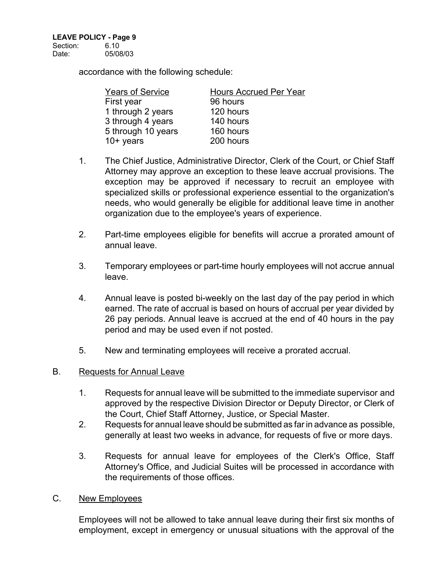Date: 05/08/03

accordance with the following schedule:

| <b>Years of Service</b> | <b>Hours Accrued Per Year</b> |
|-------------------------|-------------------------------|
| First year              | 96 hours                      |
| 1 through 2 years       | 120 hours                     |
| 3 through 4 years       | 140 hours                     |
| 5 through 10 years      | 160 hours                     |
| $10+$ years             | 200 hours                     |

- 1. The Chief Justice, Administrative Director, Clerk of the Court, or Chief Staff Attorney may approve an exception to these leave accrual provisions. The exception may be approved if necessary to recruit an employee with specialized skills or professional experience essential to the organization's needs, who would generally be eligible for additional leave time in another organization due to the employee's years of experience.
- 2. Part-time employees eligible for benefits will accrue a prorated amount of annual leave.
- 3. Temporary employees or part-time hourly employees will not accrue annual leave.
- 4. Annual leave is posted bi-weekly on the last day of the pay period in which earned. The rate of accrual is based on hours of accrual per year divided by 26 pay periods. Annual leave is accrued at the end of 40 hours in the pay period and may be used even if not posted.
- 5. New and terminating employees will receive a prorated accrual.

### B. Requests for Annual Leave

- 1. Requests for annual leave will be submitted to the immediate supervisor and approved by the respective Division Director or Deputy Director, or Clerk of the Court, Chief Staff Attorney, Justice, or Special Master.
- 2. Requests for annual leave should be submitted as far in advance as possible, generally at least two weeks in advance, for requests of five or more days.
- 3. Requests for annual leave for employees of the Clerk's Office, Staff Attorney's Office, and Judicial Suites will be processed in accordance with the requirements of those offices.
- C. New Employees

Employees will not be allowed to take annual leave during their first six months of employment, except in emergency or unusual situations with the approval of the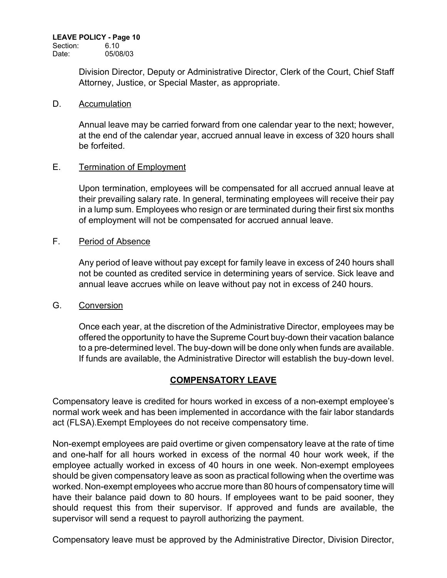Section: 6.10 Date: 05/08/03

> Division Director, Deputy or Administrative Director, Clerk of the Court, Chief Staff Attorney, Justice, or Special Master, as appropriate.

#### D. Accumulation

Annual leave may be carried forward from one calendar year to the next; however, at the end of the calendar year, accrued annual leave in excess of 320 hours shall be forfeited.

## E. Termination of Employment

Upon termination, employees will be compensated for all accrued annual leave at their prevailing salary rate. In general, terminating employees will receive their pay in a lump sum. Employees who resign or are terminated during their first six months of employment will not be compensated for accrued annual leave.

## F. Period of Absence

Any period of leave without pay except for family leave in excess of 240 hours shall not be counted as credited service in determining years of service. Sick leave and annual leave accrues while on leave without pay not in excess of 240 hours.

#### G. Conversion

Once each year, at the discretion of the Administrative Director, employees may be offered the opportunity to have the Supreme Court buy-down their vacation balance to a pre-determined level. The buy-down will be done only when funds are available. If funds are available, the Administrative Director will establish the buy-down level.

## **COMPENSATORY LEAVE**

Compensatory leave is credited for hours worked in excess of a non-exempt employee's normal work week and has been implemented in accordance with the fair labor standards act (FLSA).Exempt Employees do not receive compensatory time.

Non-exempt employees are paid overtime or given compensatory leave at the rate of time and one-half for all hours worked in excess of the normal 40 hour work week, if the employee actually worked in excess of 40 hours in one week. Non-exempt employees should be given compensatory leave as soon as practical following when the overtime was worked. Non-exempt employees who accrue more than 80 hours of compensatory time will have their balance paid down to 80 hours. If employees want to be paid sooner, they should request this from their supervisor. If approved and funds are available, the supervisor will send a request to payroll authorizing the payment.

Compensatory leave must be approved by the Administrative Director, Division Director,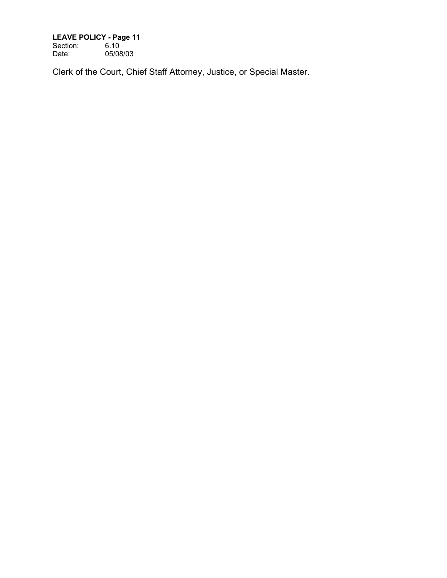Section: 6.10 Date: 05/08/03

Clerk of the Court, Chief Staff Attorney, Justice, or Special Master.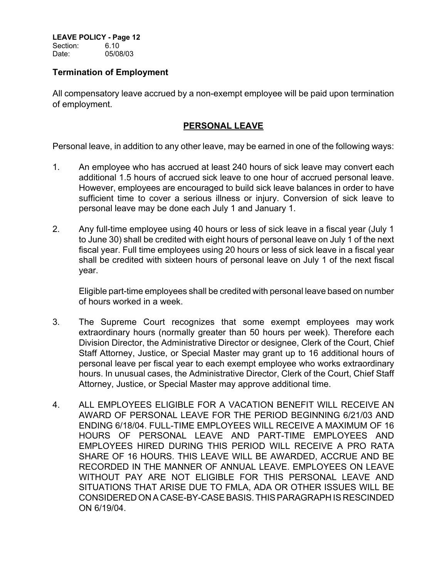Section: 6.10 Date: 05/08/03

## **Termination of Employment**

All compensatory leave accrued by a non-exempt employee will be paid upon termination of employment.

## **PERSONAL LEAVE**

Personal leave, in addition to any other leave, may be earned in one of the following ways:

- 1. An employee who has accrued at least 240 hours of sick leave may convert each additional 1.5 hours of accrued sick leave to one hour of accrued personal leave. However, employees are encouraged to build sick leave balances in order to have sufficient time to cover a serious illness or injury. Conversion of sick leave to personal leave may be done each July 1 and January 1.
- 2. Any full-time employee using 40 hours or less of sick leave in a fiscal year (July 1 to June 30) shall be credited with eight hours of personal leave on July 1 of the next fiscal year. Full time employees using 20 hours or less of sick leave in a fiscal year shall be credited with sixteen hours of personal leave on July 1 of the next fiscal year.

Eligible part-time employees shall be credited with personal leave based on number of hours worked in a week.

- 3. The Supreme Court recognizes that some exempt employees may work extraordinary hours (normally greater than 50 hours per week). Therefore each Division Director, the Administrative Director or designee, Clerk of the Court, Chief Staff Attorney, Justice, or Special Master may grant up to 16 additional hours of personal leave per fiscal year to each exempt employee who works extraordinary hours. In unusual cases, the Administrative Director, Clerk of the Court, Chief Staff Attorney, Justice, or Special Master may approve additional time.
- 4. ALL EMPLOYEES ELIGIBLE FOR A VACATION BENEFIT WILL RECEIVE AN AWARD OF PERSONAL LEAVE FOR THE PERIOD BEGINNING 6/21/03 AND ENDING 6/18/04. FULL-TIME EMPLOYEES WILL RECEIVE A MAXIMUM OF 16 HOURS OF PERSONAL LEAVE AND PART-TIME EMPLOYEES AND EMPLOYEES HIRED DURING THIS PERIOD WILL RECEIVE A PRO RATA SHARE OF 16 HOURS. THIS LEAVE WILL BE AWARDED, ACCRUE AND BE RECORDED IN THE MANNER OF ANNUAL LEAVE. EMPLOYEES ON LEAVE WITHOUT PAY ARE NOT ELIGIBLE FOR THIS PERSONAL LEAVE AND SITUATIONS THAT ARISE DUE TO FMLA, ADA OR OTHER ISSUES WILL BE CONSIDERED ON A CASE-BY-CASE BASIS. THIS PARAGRAPH IS RESCINDED ON 6/19/04.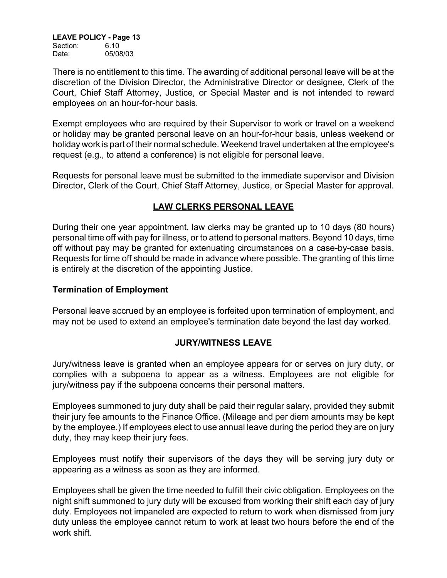**LEAVE POLICY - Page 13** Section: 6.10

Date: 05/08/03

There is no entitlement to this time. The awarding of additional personal leave will be at the discretion of the Division Director, the Administrative Director or designee, Clerk of the Court, Chief Staff Attorney, Justice, or Special Master and is not intended to reward employees on an hour-for-hour basis.

Exempt employees who are required by their Supervisor to work or travel on a weekend or holiday may be granted personal leave on an hour-for-hour basis, unless weekend or holiday work is part of their normal schedule. Weekend travel undertaken at the employee's request (e.g., to attend a conference) is not eligible for personal leave.

Requests for personal leave must be submitted to the immediate supervisor and Division Director, Clerk of the Court, Chief Staff Attorney, Justice, or Special Master for approval.

# **LAW CLERKS PERSONAL LEAVE**

During their one year appointment, law clerks may be granted up to 10 days (80 hours) personal time off with pay for illness, or to attend to personal matters. Beyond 10 days, time off without pay may be granted for extenuating circumstances on a case-by-case basis. Requests for time off should be made in advance where possible. The granting of this time is entirely at the discretion of the appointing Justice.

## **Termination of Employment**

Personal leave accrued by an employee is forfeited upon termination of employment, and may not be used to extend an employee's termination date beyond the last day worked.

# **JURY/WITNESS LEAVE**

Jury/witness leave is granted when an employee appears for or serves on jury duty, or complies with a subpoena to appear as a witness. Employees are not eligible for jury/witness pay if the subpoena concerns their personal matters.

Employees summoned to jury duty shall be paid their regular salary, provided they submit their jury fee amounts to the Finance Office. (Mileage and per diem amounts may be kept by the employee.) If employees elect to use annual leave during the period they are on jury duty, they may keep their jury fees.

Employees must notify their supervisors of the days they will be serving jury duty or appearing as a witness as soon as they are informed.

Employees shall be given the time needed to fulfill their civic obligation. Employees on the night shift summoned to jury duty will be excused from working their shift each day of jury duty. Employees not impaneled are expected to return to work when dismissed from jury duty unless the employee cannot return to work at least two hours before the end of the work shift.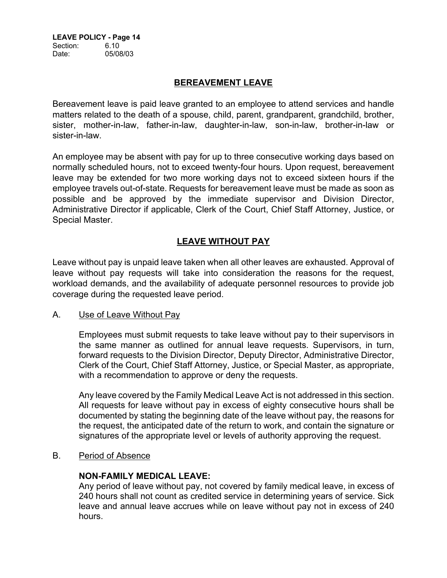**LEAVE POLICY - Page 14** Section: 6.10 Date: 05/08/03

## **BEREAVEMENT LEAVE**

Bereavement leave is paid leave granted to an employee to attend services and handle matters related to the death of a spouse, child, parent, grandparent, grandchild, brother, sister, mother-in-law, father-in-law, daughter-in-law, son-in-law, brother-in-law or sister-in-law.

An employee may be absent with pay for up to three consecutive working days based on normally scheduled hours, not to exceed twenty-four hours. Upon request, bereavement leave may be extended for two more working days not to exceed sixteen hours if the employee travels out-of-state. Requests for bereavement leave must be made as soon as possible and be approved by the immediate supervisor and Division Director, Administrative Director if applicable, Clerk of the Court, Chief Staff Attorney, Justice, or Special Master.

# **LEAVE WITHOUT PAY**

Leave without pay is unpaid leave taken when all other leaves are exhausted. Approval of leave without pay requests will take into consideration the reasons for the request, workload demands, and the availability of adequate personnel resources to provide job coverage during the requested leave period.

#### A. Use of Leave Without Pay

Employees must submit requests to take leave without pay to their supervisors in the same manner as outlined for annual leave requests. Supervisors, in turn, forward requests to the Division Director, Deputy Director, Administrative Director, Clerk of the Court, Chief Staff Attorney, Justice, or Special Master, as appropriate, with a recommendation to approve or deny the requests.

Any leave covered by the Family Medical Leave Act is not addressed in this section. All requests for leave without pay in excess of eighty consecutive hours shall be documented by stating the beginning date of the leave without pay, the reasons for the request, the anticipated date of the return to work, and contain the signature or signatures of the appropriate level or levels of authority approving the request.

B. Period of Absence

## **NON-FAMILY MEDICAL LEAVE:**

Any period of leave without pay, not covered by family medical leave, in excess of 240 hours shall not count as credited service in determining years of service. Sick leave and annual leave accrues while on leave without pay not in excess of 240 hours.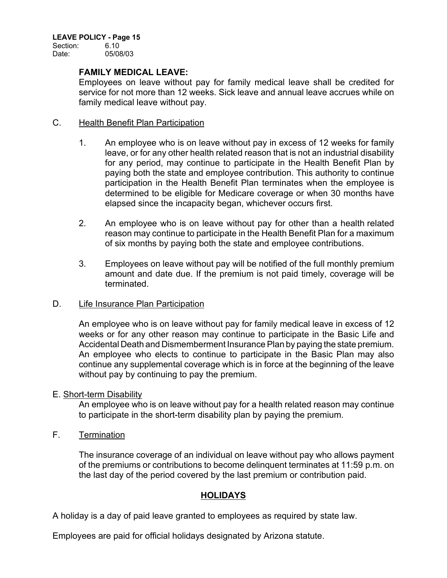Section: 6.10 Date: 05/08/03

### **FAMILY MEDICAL LEAVE:**

Employees on leave without pay for family medical leave shall be credited for service for not more than 12 weeks. Sick leave and annual leave accrues while on family medical leave without pay.

### C. Health Benefit Plan Participation

- 1. An employee who is on leave without pay in excess of 12 weeks for family leave, or for any other health related reason that is not an industrial disability for any period, may continue to participate in the Health Benefit Plan by paying both the state and employee contribution. This authority to continue participation in the Health Benefit Plan terminates when the employee is determined to be eligible for Medicare coverage or when 30 months have elapsed since the incapacity began, whichever occurs first.
- 2. An employee who is on leave without pay for other than a health related reason may continue to participate in the Health Benefit Plan for a maximum of six months by paying both the state and employee contributions.
- 3. Employees on leave without pay will be notified of the full monthly premium amount and date due. If the premium is not paid timely, coverage will be terminated.

## D. Life Insurance Plan Participation

An employee who is on leave without pay for family medical leave in excess of 12 weeks or for any other reason may continue to participate in the Basic Life and Accidental Death and Dismemberment Insurance Plan by paying the state premium. An employee who elects to continue to participate in the Basic Plan may also continue any supplemental coverage which is in force at the beginning of the leave without pay by continuing to pay the premium.

#### E. Short-term Disability

An employee who is on leave without pay for a health related reason may continue to participate in the short-term disability plan by paying the premium.

F. Termination

The insurance coverage of an individual on leave without pay who allows payment of the premiums or contributions to become delinquent terminates at 11:59 p.m. on the last day of the period covered by the last premium or contribution paid.

## **HOLIDAYS**

A holiday is a day of paid leave granted to employees as required by state law.

Employees are paid for official holidays designated by Arizona statute.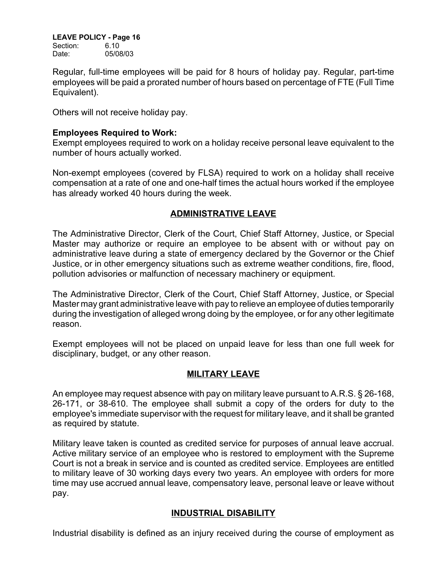Section: 6.10 Date: 05/08/03

Regular, full-time employees will be paid for 8 hours of holiday pay. Regular, part-time employees will be paid a prorated number of hours based on percentage of FTE (Full Time Equivalent).

Others will not receive holiday pay.

### **Employees Required to Work:**

Exempt employees required to work on a holiday receive personal leave equivalent to the number of hours actually worked.

Non-exempt employees (covered by FLSA) required to work on a holiday shall receive compensation at a rate of one and one-half times the actual hours worked if the employee has already worked 40 hours during the week.

# **ADMINISTRATIVE LEAVE**

The Administrative Director, Clerk of the Court, Chief Staff Attorney, Justice, or Special Master may authorize or require an employee to be absent with or without pay on administrative leave during a state of emergency declared by the Governor or the Chief Justice, or in other emergency situations such as extreme weather conditions, fire, flood, pollution advisories or malfunction of necessary machinery or equipment.

The Administrative Director, Clerk of the Court, Chief Staff Attorney, Justice, or Special Master may grant administrative leave with pay to relieve an employee of duties temporarily during the investigation of alleged wrong doing by the employee, or for any other legitimate reason.

Exempt employees will not be placed on unpaid leave for less than one full week for disciplinary, budget, or any other reason.

## **MILITARY LEAVE**

An employee may request absence with pay on military leave pursuant to A.R.S. § 26-168, 26-171, or 38-610. The employee shall submit a copy of the orders for duty to the employee's immediate supervisor with the request for military leave, and it shall be granted as required by statute.

Military leave taken is counted as credited service for purposes of annual leave accrual. Active military service of an employee who is restored to employment with the Supreme Court is not a break in service and is counted as credited service. Employees are entitled to military leave of 30 working days every two years. An employee with orders for more time may use accrued annual leave, compensatory leave, personal leave or leave without pay.

## **INDUSTRIAL DISABILITY**

Industrial disability is defined as an injury received during the course of employment as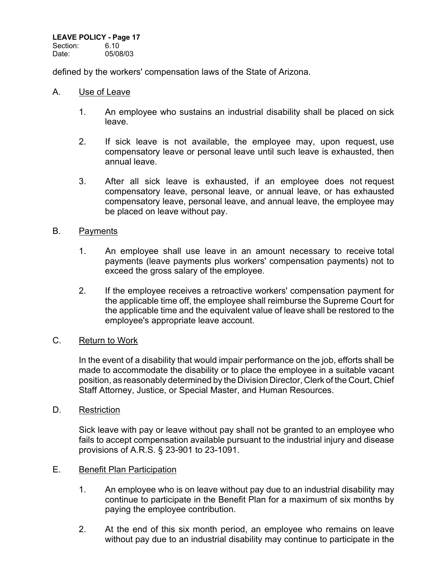Section: 6.10 Date: 05/08/03

defined by the workers' compensation laws of the State of Arizona.

#### A. Use of Leave

- 1. An employee who sustains an industrial disability shall be placed on sick leave.
- 2. If sick leave is not available, the employee may, upon request, use compensatory leave or personal leave until such leave is exhausted, then annual leave.
- 3. After all sick leave is exhausted, if an employee does not request compensatory leave, personal leave, or annual leave, or has exhausted compensatory leave, personal leave, and annual leave, the employee may be placed on leave without pay.

### B. Payments

- 1. An employee shall use leave in an amount necessary to receive total payments (leave payments plus workers' compensation payments) not to exceed the gross salary of the employee.
- 2. If the employee receives a retroactive workers' compensation payment for the applicable time off, the employee shall reimburse the Supreme Court for the applicable time and the equivalent value of leave shall be restored to the employee's appropriate leave account.

## C. Return to Work

In the event of a disability that would impair performance on the job, efforts shall be made to accommodate the disability or to place the employee in a suitable vacant position, as reasonably determined by the Division Director, Clerk of the Court, Chief Staff Attorney, Justice, or Special Master, and Human Resources.

#### D. Restriction

Sick leave with pay or leave without pay shall not be granted to an employee who fails to accept compensation available pursuant to the industrial injury and disease provisions of A.R.S. § 23-901 to 23-1091.

#### E. Benefit Plan Participation

- 1. An employee who is on leave without pay due to an industrial disability may continue to participate in the Benefit Plan for a maximum of six months by paying the employee contribution.
- 2. At the end of this six month period, an employee who remains on leave without pay due to an industrial disability may continue to participate in the